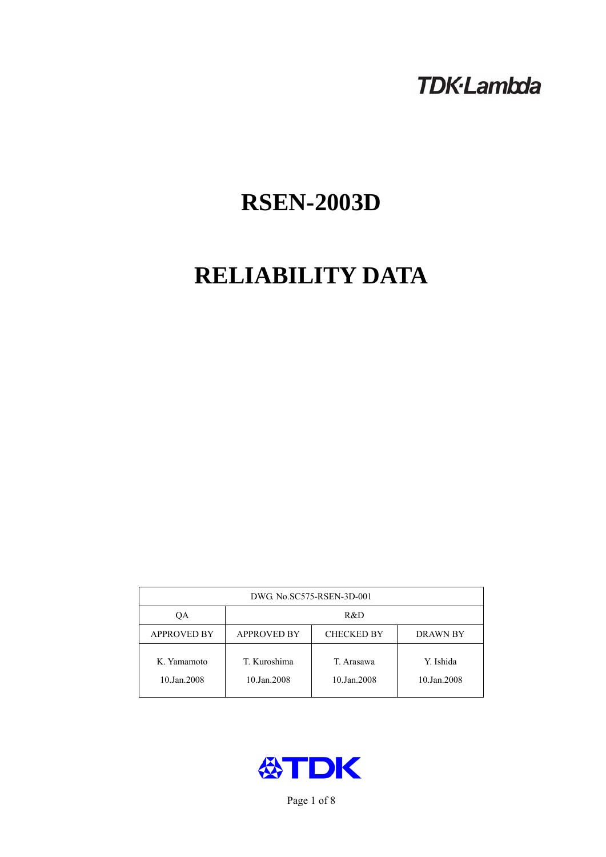# **TDK-Lambda**

# **RSEN-2003D**

# **RELIABILITY DATA**

| DWG No.SC575-RSEN-3D-001   |                                                            |                           |                          |  |  |
|----------------------------|------------------------------------------------------------|---------------------------|--------------------------|--|--|
| ОA                         | R&D                                                        |                           |                          |  |  |
| <b>APPROVED BY</b>         | <b>APPROVED BY</b><br><b>CHECKED BY</b><br><b>DRAWN BY</b> |                           |                          |  |  |
| K. Yamamoto<br>10.Jan.2008 | T. Kuroshima<br>10.Jan.2008                                | T. Arasawa<br>10.Jan.2008 | Y. Ishida<br>10.Jan.2008 |  |  |



Page 1 of 8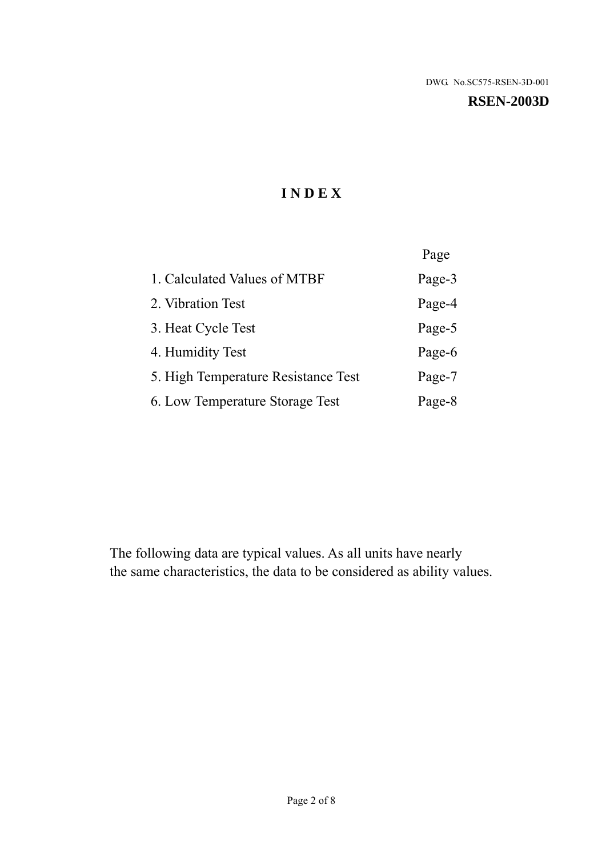#### **RSEN-2003D**

# **I N D E X**

|                                     | Page   |
|-------------------------------------|--------|
| 1. Calculated Values of MTBF        | Page-3 |
| 2. Vibration Test                   | Page-4 |
| 3. Heat Cycle Test                  | Page-5 |
| 4. Humidity Test                    | Page-6 |
| 5. High Temperature Resistance Test | Page-7 |
| 6. Low Temperature Storage Test     | Page-8 |

The following data are typical values. As all units have nearly the same characteristics, the data to be considered as ability values.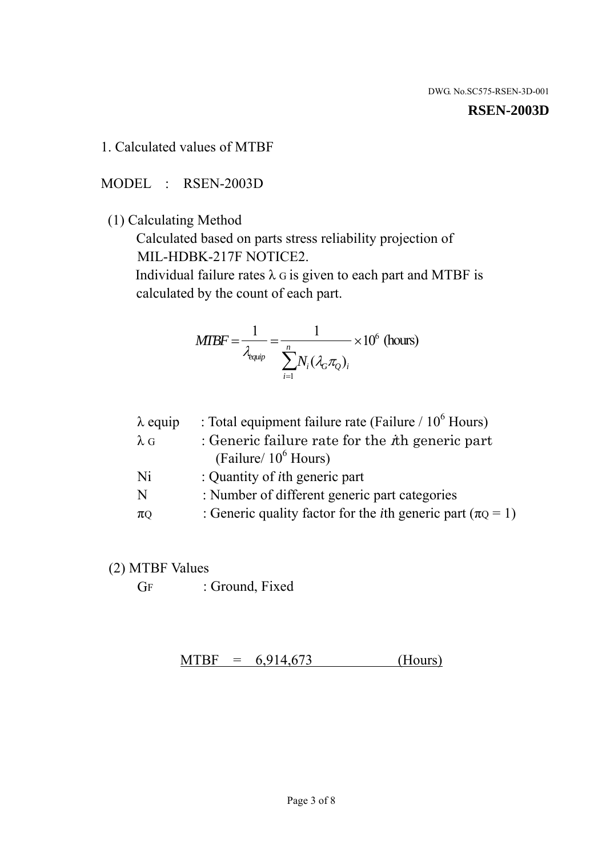#### **RSEN-2003D**

1. Calculated values of MTBF

MODEL : RSEN-2003D

(1) Calculating Method

 Calculated based on parts stress reliability projection of MIL-HDBK-217F NOTICE2.

Individual failure rates  $\lambda$  G is given to each part and MTBF is calculated by the count of each part.

$$
MTBF = \frac{1}{\lambda_{\text{equip}}} = \frac{1}{\sum_{i=1}^{n} N_i (\lambda_G \pi_Q)_i} \times 10^6 \text{ (hours)}
$$

| $\lambda$ equip | : Total equipment failure rate (Failure $/ 10^6$ Hours)                   |
|-----------------|---------------------------------------------------------------------------|
| $\lambda$ G     | : Generic failure rate for the $\hbar$ generic part                       |
|                 | (Failure/ $10^6$ Hours)                                                   |
| Ni              | : Quantity of <i>i</i> th generic part                                    |
| N               | : Number of different generic part categories                             |
| $\pi$ Q         | : Generic quality factor for the <i>i</i> th generic part ( $\pi Q = 1$ ) |

- (2) MTBF Values
	- GF : Ground, Fixed

 $MTBF = 6,914,673$  (Hours)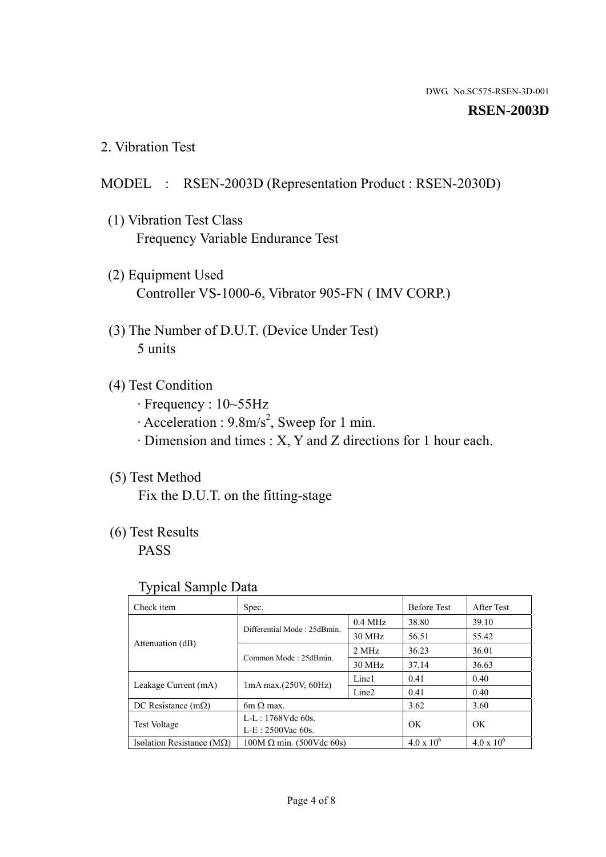#### **RSEN-2003D**

2. Vibration Test

### MODEL : RSEN-2003D (Representation Product : RSEN-2030D)

- (1) Vibration Test Class Frequency Variable Endurance Test
- (2) Equipment Used Controller VS-1000-6, Vibrator 905-FN ( IMV CORP.)
- (3) The Number of D.U.T. (Device Under Test) 5 units
- (4) Test Condition
	- · Frequency : 10~55Hz
	- $\cdot$  Acceleration : 9.8m/s<sup>2</sup>, Sweep for 1 min.
	- · Dimension and times : X, Y and Z directions for 1 hour each.

# (5) Test Method

Fix the D.U.T. on the fitting-stage

# (6) Test Results

PASS

#### Typical Sample Data

| . .                           |                                                         |           |                     |                     |
|-------------------------------|---------------------------------------------------------|-----------|---------------------|---------------------|
| Check item                    | Spec.                                                   |           | <b>Before Test</b>  | After Test          |
|                               | Differential Mode: 25dBmin.                             | $0.4$ MHz | 38.80               | 39.10               |
|                               |                                                         | 30 MHz    | 56.51               | 55.42               |
| Attenuation (dB)              | Common Mode: 25dBmin.                                   | 2 MHz     | 36.23               | 36.01               |
|                               |                                                         | 30 MHz    | 37.14               | 36.63               |
| Leakage Current (mA)          | Line1<br>$1mA$ max. $(250V, 60Hz)$<br>Line <sub>2</sub> |           | 0.41                | 0.40                |
|                               |                                                         |           | 0.41                | 0.40                |
| DC Resistance $(m\Omega)$     | $6m \Omega$ max.                                        |           | 3.62                | 3.60                |
| <b>Test Voltage</b>           | $L-L: 1768Vdc$ 60s.                                     |           | OK                  | OK.                 |
|                               | $L-E$ : 2500Vac 60s.                                    |           |                     |                     |
| Isolation Resistance ( $MQ$ ) | $100M \Omega$ min. (500Vdc 60s)                         |           | $4.0 \times 10^{6}$ | $4.0 \times 10^{6}$ |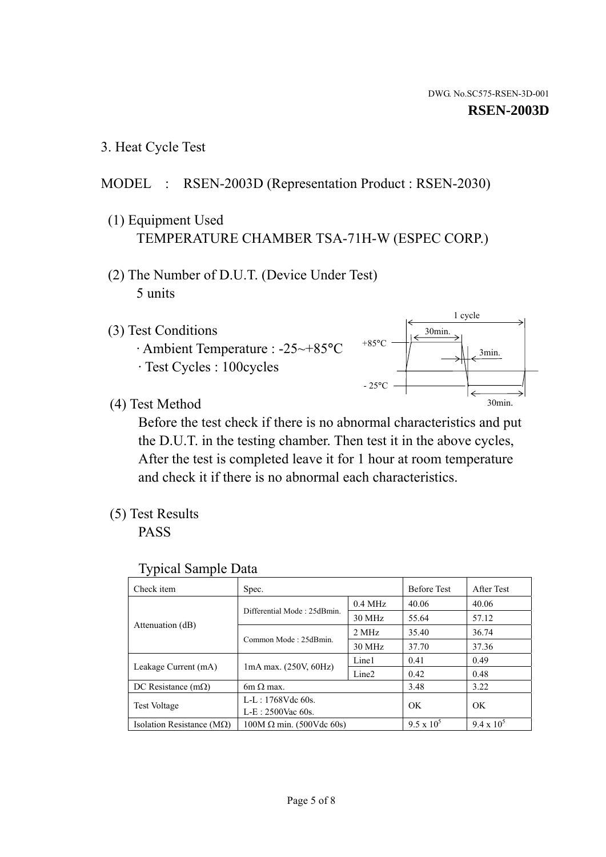3. Heat Cycle Test

# MODEL : RSEN-2003D (Representation Product : RSEN-2030)

- (1) Equipment Used TEMPERATURE CHAMBER TSA-71H-W (ESPEC CORP.)
- (2) The Number of D.U.T. (Device Under Test) 5 units
- (3) Test Conditions
	- · Ambient Temperature : -25~+85°C · Test Cycles : 100cycles





(4) Test Method

 Before the test check if there is no abnormal characteristics and put the D.U.T. in the testing chamber. Then test it in the above cycles, After the test is completed leave it for 1 hour at room temperature and check it if there is no abnormal each characteristics.

(5) Test Results

PASS

| <b>Typical Sample Data</b> |  |  |
|----------------------------|--|--|
|----------------------------|--|--|

| Check item                    | Spec.                                                   |                     | <b>Before Test</b> | After Test        |
|-------------------------------|---------------------------------------------------------|---------------------|--------------------|-------------------|
|                               | Differential Mode: 25dBmin.                             | $0.4\ \mathrm{MHz}$ | 40.06              | 40.06             |
|                               |                                                         | 30 MHz              | 55.64              | 57.12             |
| Attenuation (dB)              | Common Mode: 25dBmin.                                   | 2 MHz               | 35.40              | 36.74             |
|                               |                                                         | 30 MHz              | 37.70              | 37.36             |
|                               | Line1<br>$1mA$ max. $(250V, 60Hz)$<br>Line <sub>2</sub> |                     | 0.41               | 0.49              |
| Leakage Current (mA)          |                                                         |                     | 0.42               | 0.48              |
| DC Resistance $(m\Omega)$     | $6m \Omega$ max.                                        |                     | 3.48               | 3.22              |
| <b>Test Voltage</b>           | L-L: 1768Vdc 60s.                                       |                     | OK                 | OK                |
|                               | $L-E: 2500$ Vac 60s.                                    |                     |                    |                   |
| Isolation Resistance ( $MQ$ ) | $100M \Omega$ min. (500Vdc 60s)                         |                     | $9.5 \times 10^5$  | $9.4 \times 10^5$ |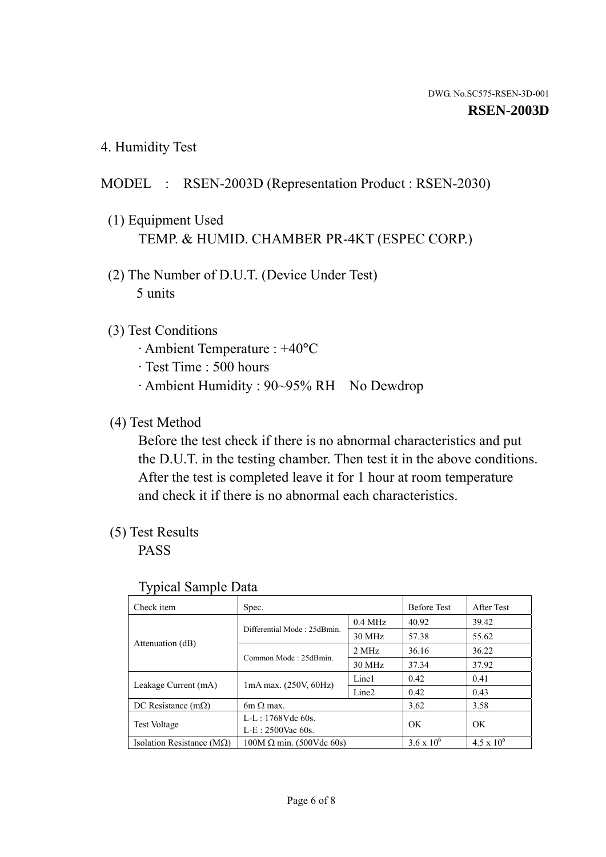4. Humidity Test

# MODEL : RSEN-2003D (Representation Product : RSEN-2030)

- (1) Equipment Used TEMP. & HUMID. CHAMBER PR-4KT (ESPEC CORP.)
- (2) The Number of D.U.T. (Device Under Test) 5 units

### (3) Test Conditions

- · Ambient Temperature : +40°C
- · Test Time : 500 hours
- · Ambient Humidity : 90~95% RH No Dewdrop

## (4) Test Method

 Before the test check if there is no abnormal characteristics and put the D.U.T. in the testing chamber. Then test it in the above conditions. After the test is completed leave it for 1 hour at room temperature and check it if there is no abnormal each characteristics.

# (5) Test Results

PASS

| . .                                |                                 |                   |                     |                     |
|------------------------------------|---------------------------------|-------------------|---------------------|---------------------|
| Check item                         | Spec.                           |                   | <b>Before Test</b>  | After Test          |
|                                    |                                 | $0.4$ MHz         | 40.92               | 39.42               |
|                                    | Differential Mode: 25dBmin.     | 30 MHz            | 57.38               | 55.62               |
| Attenuation (dB)                   | Common Mode: 25dBmin.           | 2 MHz             | 36.16               | 36.22               |
|                                    |                                 | 30 MHz            | 37.34               | 37.92               |
| Leakage Current (mA)               | $1mA$ max. $(250V, 60Hz)$       | Line1             | 0.42                | 0.41                |
|                                    |                                 | Line <sub>2</sub> | 0.42                | 0.43                |
| DC Resistance (m $\Omega$ )        | $6m \Omega$ max.                |                   | 3.62                | 3.58                |
| <b>Test Voltage</b>                | $L-L: 1768Vdc$ 60s.             |                   | OK                  | OK.                 |
|                                    | $L-E$ : 2500Vac 60s.            |                   |                     |                     |
| Isolation Resistance ( $M\Omega$ ) | $100M \Omega$ min. (500Vdc 60s) |                   | $3.6 \times 10^{6}$ | $4.5 \times 10^{6}$ |

#### Typical Sample Data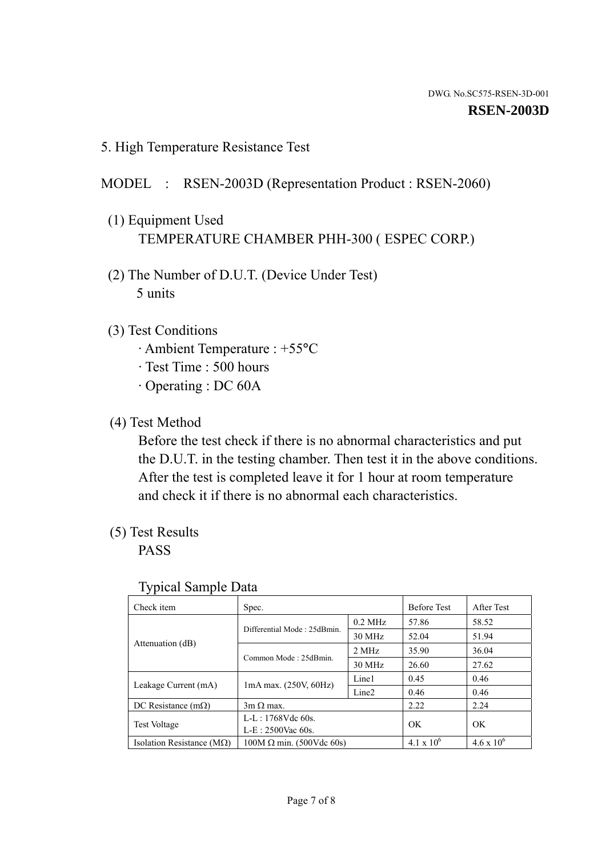5. High Temperature Resistance Test

# MODEL : RSEN-2003D (Representation Product : RSEN-2060)

- (1) Equipment Used TEMPERATURE CHAMBER PHH-300 ( ESPEC CORP.)
- (2) The Number of D.U.T. (Device Under Test) 5 units
- (3) Test Conditions
	- · Ambient Temperature : +55°C
	- · Test Time : 500 hours
	- · Operating : DC 60A
- (4) Test Method

 Before the test check if there is no abnormal characteristics and put the D.U.T. in the testing chamber. Then test it in the above conditions. After the test is completed leave it for 1 hour at room temperature and check it if there is no abnormal each characteristics.

(5) Test Results

PASS

| J 1                                |                                                         |           |                     |                     |
|------------------------------------|---------------------------------------------------------|-----------|---------------------|---------------------|
| Check item                         | Spec.                                                   |           | <b>Before Test</b>  | After Test          |
|                                    | Differential Mode: 25dBmin.                             | $0.2$ MHz | 57.86               | 58.52               |
|                                    |                                                         | 30 MHz    | 52.04               | 51.94               |
| Attenuation (dB)                   | Common Mode: 25dBmin.                                   | 2 MHz     | 35.90               | 36.04               |
|                                    |                                                         | 30 MHz    | 26.60               | 27.62               |
|                                    | Line1<br>$1mA$ max. $(250V, 60Hz)$<br>Line <sub>2</sub> |           | 0.45                | 0.46                |
| Leakage Current (mA)               |                                                         |           | 0.46                | 0.46                |
| DC Resistance $(m\Omega)$          | $3m \Omega$ max.                                        |           | 2.22                | 2.24                |
|                                    | $L-L: 1768Vdc$ 60s.                                     |           | OK                  | OK                  |
| <b>Test Voltage</b>                | $L-E: 2500$ Vac 60s.                                    |           |                     |                     |
| Isolation Resistance ( $M\Omega$ ) | $100M \Omega$ min. (500Vdc 60s)                         |           | $4.1 \times 10^{6}$ | $4.6 \times 10^{6}$ |

#### Typical Sample Data